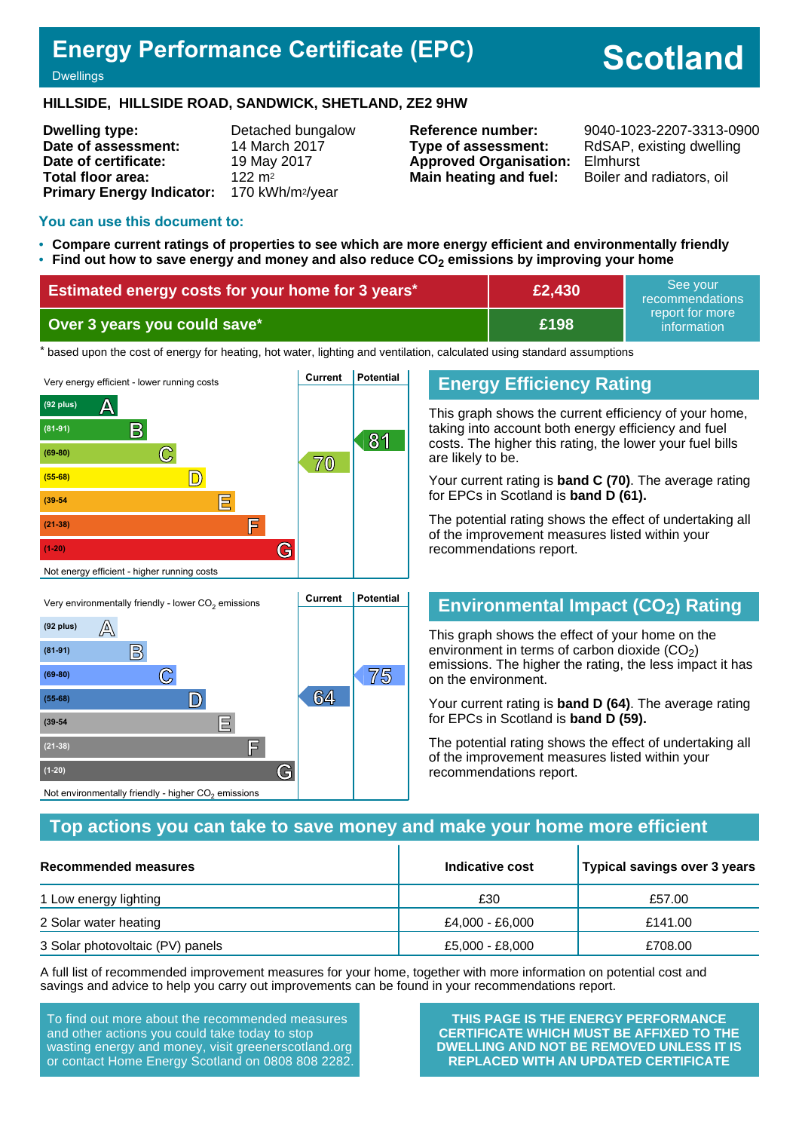## **Energy Performance Certificate (EPC)**

# **Scotland**

**Dwellings** 

#### **HILLSIDE, HILLSIDE ROAD, SANDWICK, SHETLAND, ZE2 9HW**

**Dwelling type:** Detached bungalow **Date of assessment:** 14 March 2017 **Date of certificate:** 19 May 2017 **Total floor area:** 122 m<sup>2</sup> **Primary Energy Indicator:** 170 kWh/m2/year

**Type of assessment:** RdSAP, existing dwelling **Approved Organisation:** Elmhurst **Main heating and fuel:** Boiler and radiators, oil

**Reference number:** 9040-1023-2207-3313-0900

#### **You can use this document to:**

**(39-54 E**

**(21-38) F**

Not environmentally friendly - higher  $\mathrm{CO}_2$  emissions

**(1-20) G**

- **Compare current ratings of properties to see which are more energy efficient and environmentally friendly**
- **Find out how to save energy and money and also reduce CO2 emissions by improving your home**

| <b>Estimated energy costs for your home for 3 years*</b> | £2,430 | See vour<br>recommendations    |
|----------------------------------------------------------|--------|--------------------------------|
| Over 3 years you could save*                             | £198   | report for more<br>information |

the based upon the cost of energy for heating, hot water, lighting and ventilation, calculated using standard assumptions



## **Energy Efficiency Rating**

This graph shows the current efficiency of your home, taking into account both energy efficiency and fuel costs. The higher this rating, the lower your fuel bills are likely to be.

Your current rating is **band C (70)**. The average rating for EPCs in Scotland is **band D (61).**

The potential rating shows the effect of undertaking all of the improvement measures listed within your recommendations report.

## **Environmental Impact (CO2) Rating**

This graph shows the effect of your home on the environment in terms of carbon dioxide  $(CO<sub>2</sub>)$ emissions. The higher the rating, the less impact it has on the environment.

Your current rating is **band D (64)**. The average rating for EPCs in Scotland is **band D (59).**

The potential rating shows the effect of undertaking all of the improvement measures listed within your recommendations report.

#### **Top actions you can take to save money and make your home more efficient**

| Recommended measures             | Indicative cost | Typical savings over 3 years |
|----------------------------------|-----------------|------------------------------|
| 1 Low energy lighting            | £30             | £57.00                       |
| 2 Solar water heating            | £4,000 - £6,000 | £141.00                      |
| 3 Solar photovoltaic (PV) panels | £5,000 - £8,000 | £708.00                      |

A full list of recommended improvement measures for your home, together with more information on potential cost and savings and advice to help you carry out improvements can be found in your recommendations report.

To find out more about the recommended measures and other actions you could take today to stop wasting energy and money, visit greenerscotland.org or contact Home Energy Scotland on 0808 808 2282.

**THIS PAGE IS THE ENERGY PERFORMANCE CERTIFICATE WHICH MUST BE AFFIXED TO THE DWELLING AND NOT BE REMOVED UNLESS IT IS REPLACED WITH AN UPDATED CERTIFICATE**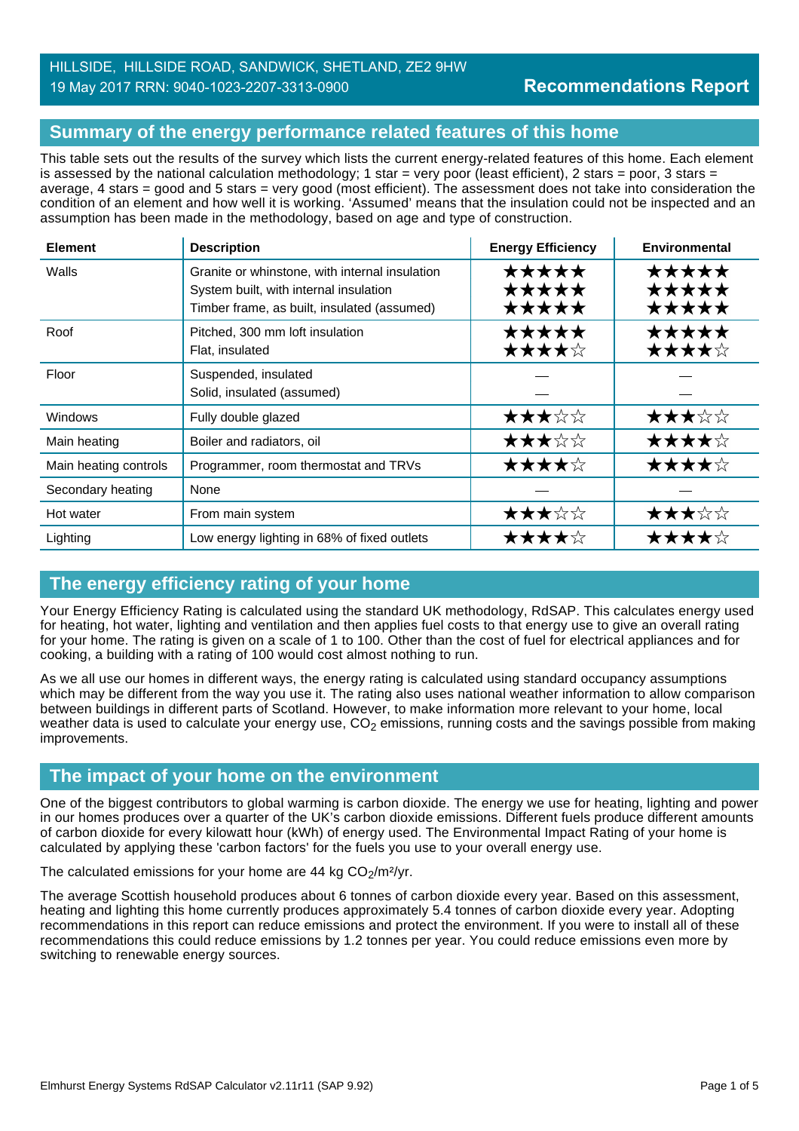#### HILLSIDE, HILLSIDE ROAD, SANDWICK, SHETLAND, ZE2 9HW 19 May 2017 RRN: 9040-1023-2207-3313-0900

## **Summary of the energy performance related features of this home**

This table sets out the results of the survey which lists the current energy-related features of this home. Each element is assessed by the national calculation methodology; 1 star = very poor (least efficient), 2 stars = poor, 3 stars = average, 4 stars = good and 5 stars = very good (most efficient). The assessment does not take into consideration the condition of an element and how well it is working. 'Assumed' means that the insulation could not be inspected and an assumption has been made in the methodology, based on age and type of construction.

| <b>Element</b>        | <b>Description</b>                                                                                                                      | <b>Energy Efficiency</b> | <b>Environmental</b>    |
|-----------------------|-----------------------------------------------------------------------------------------------------------------------------------------|--------------------------|-------------------------|
| Walls                 | Granite or whinstone, with internal insulation<br>System built, with internal insulation<br>Timber frame, as built, insulated (assumed) | *****<br>★★★★★<br>★★★★★  | ★★★★★<br>★★★★★<br>★★★★★ |
| Roof                  | Pitched, 300 mm loft insulation<br>Flat, insulated                                                                                      | ★★★★★<br>★★★★☆           | *****<br>★★★★☆          |
| Floor                 | Suspended, insulated<br>Solid, insulated (assumed)                                                                                      |                          |                         |
| Windows               | Fully double glazed                                                                                                                     | ★★★☆☆                    | ★★★☆☆                   |
| Main heating          | Boiler and radiators, oil                                                                                                               | ★★★☆☆                    | ★★★★☆                   |
| Main heating controls | Programmer, room thermostat and TRVs                                                                                                    | ★★★★☆                    | ★★★★☆                   |
| Secondary heating     | None                                                                                                                                    |                          |                         |
| Hot water             | From main system                                                                                                                        | ★★★☆☆                    | ★★★☆☆                   |
| Lighting              | Low energy lighting in 68% of fixed outlets                                                                                             | ★★★★☆                    | ★★★★☆                   |

## **The energy efficiency rating of your home**

Your Energy Efficiency Rating is calculated using the standard UK methodology, RdSAP. This calculates energy used for heating, hot water, lighting and ventilation and then applies fuel costs to that energy use to give an overall rating for your home. The rating is given on a scale of 1 to 100. Other than the cost of fuel for electrical appliances and for cooking, a building with a rating of 100 would cost almost nothing to run.

As we all use our homes in different ways, the energy rating is calculated using standard occupancy assumptions which may be different from the way you use it. The rating also uses national weather information to allow comparison between buildings in different parts of Scotland. However, to make information more relevant to your home, local weather data is used to calculate your energy use,  $CO<sub>2</sub>$  emissions, running costs and the savings possible from making improvements.

## **The impact of your home on the environment**

One of the biggest contributors to global warming is carbon dioxide. The energy we use for heating, lighting and power in our homes produces over a quarter of the UK's carbon dioxide emissions. Different fuels produce different amounts of carbon dioxide for every kilowatt hour (kWh) of energy used. The Environmental Impact Rating of your home is calculated by applying these 'carbon factors' for the fuels you use to your overall energy use.

The calculated emissions for your home are 44 kg  $CO<sub>2</sub>/m<sup>2</sup>/yr$ .

The average Scottish household produces about 6 tonnes of carbon dioxide every year. Based on this assessment, heating and lighting this home currently produces approximately 5.4 tonnes of carbon dioxide every year. Adopting recommendations in this report can reduce emissions and protect the environment. If you were to install all of these recommendations this could reduce emissions by 1.2 tonnes per year. You could reduce emissions even more by switching to renewable energy sources.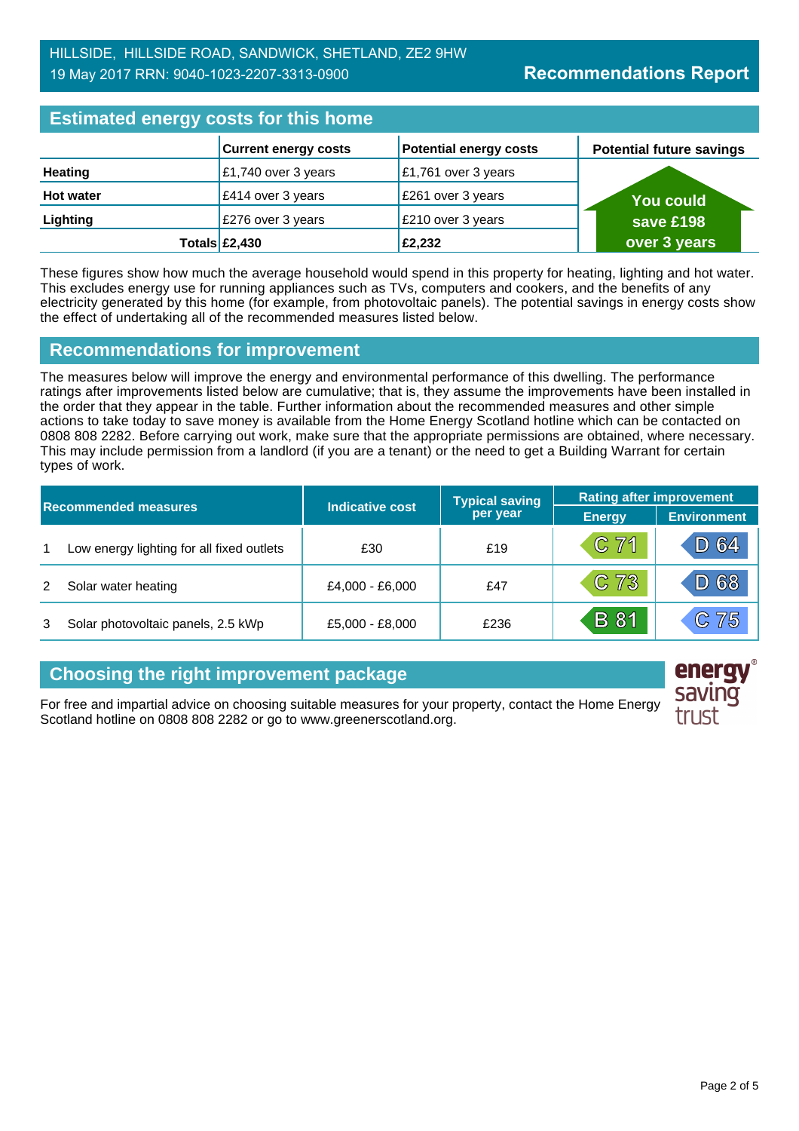| <b>Estimated energy costs for this home</b> |                                      |                               |                                 |  |
|---------------------------------------------|--------------------------------------|-------------------------------|---------------------------------|--|
|                                             | <b>Current energy costs</b>          | <b>Potential energy costs</b> | <b>Potential future savings</b> |  |
| <b>Heating</b>                              | £1,740 over 3 years                  | £1,761 over 3 years           |                                 |  |
| <b>Hot water</b>                            | £414 over 3 years                    | £261 over 3 years             | You could                       |  |
| Lighting                                    | £276 over 3 years                    | £210 over 3 years             | save £198                       |  |
|                                             | Totals $\left  \pounds2,430 \right $ | £2,232                        | over 3 years                    |  |

These figures show how much the average household would spend in this property for heating, lighting and hot water. This excludes energy use for running appliances such as TVs, computers and cookers, and the benefits of any electricity generated by this home (for example, from photovoltaic panels). The potential savings in energy costs show the effect of undertaking all of the recommended measures listed below.

#### **Recommendations for improvement**

The measures below will improve the energy and environmental performance of this dwelling. The performance ratings after improvements listed below are cumulative; that is, they assume the improvements have been installed in the order that they appear in the table. Further information about the recommended measures and other simple actions to take today to save money is available from the Home Energy Scotland hotline which can be contacted on 0808 808 2282. Before carrying out work, make sure that the appropriate permissions are obtained, where necessary. This may include permission from a landlord (if you are a tenant) or the need to get a Building Warrant for certain types of work.

| <b>Recommended measures</b> |                                           |                             | <b>Typical saving</b> | <b>Rating after improvement</b> |                    |
|-----------------------------|-------------------------------------------|-----------------------------|-----------------------|---------------------------------|--------------------|
|                             |                                           | Indicative cost<br>per year |                       | <b>Energy</b>                   | <b>Environment</b> |
| $\mathbf 1$                 | Low energy lighting for all fixed outlets | £30                         | £19                   | $C$ 71                          | D 64               |
|                             | Solar water heating                       | £4,000 - £6,000             | £47                   | C73                             | D 68               |
|                             | Solar photovoltaic panels, 2.5 kWp        | £5,000 - £8,000             | £236                  | <b>B</b> 81                     | C75                |

## **Choosing the right improvement package**

For free and impartial advice on choosing suitable measures for your property, contact the Home Energy Scotland hotline on 0808 808 2282 or go to www.greenerscotland.org.

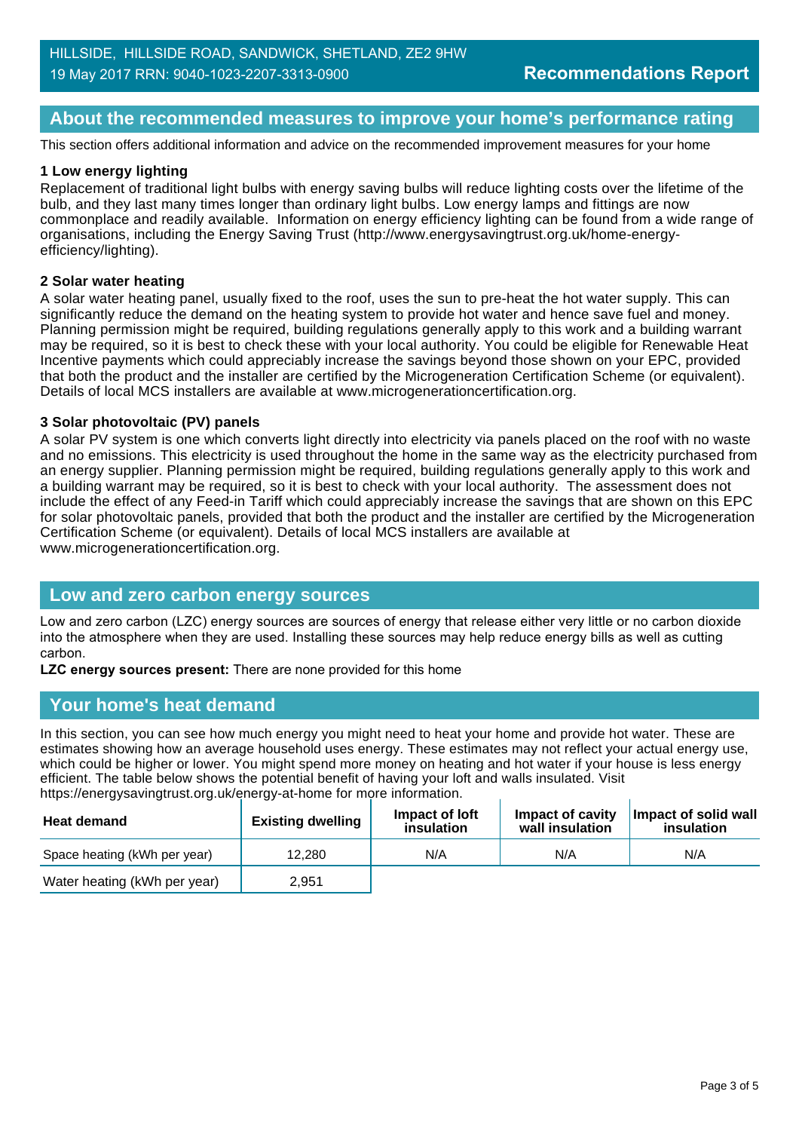#### **About the recommended measures to improve your home's performance rating**

This section offers additional information and advice on the recommended improvement measures for your home

#### **1 Low energy lighting**

Replacement of traditional light bulbs with energy saving bulbs will reduce lighting costs over the lifetime of the bulb, and they last many times longer than ordinary light bulbs. Low energy lamps and fittings are now commonplace and readily available. Information on energy efficiency lighting can be found from a wide range of organisations, including the Energy Saving Trust (http://www.energysavingtrust.org.uk/home-energyefficiency/lighting).

#### **2 Solar water heating**

A solar water heating panel, usually fixed to the roof, uses the sun to pre-heat the hot water supply. This can significantly reduce the demand on the heating system to provide hot water and hence save fuel and money. Planning permission might be required, building regulations generally apply to this work and a building warrant may be required, so it is best to check these with your local authority. You could be eligible for Renewable Heat Incentive payments which could appreciably increase the savings beyond those shown on your EPC, provided that both the product and the installer are certified by the Microgeneration Certification Scheme (or equivalent). Details of local MCS installers are available at www.microgenerationcertification.org.

#### **3 Solar photovoltaic (PV) panels**

A solar PV system is one which converts light directly into electricity via panels placed on the roof with no waste and no emissions. This electricity is used throughout the home in the same way as the electricity purchased from an energy supplier. Planning permission might be required, building regulations generally apply to this work and a building warrant may be required, so it is best to check with your local authority. The assessment does not include the effect of any Feed-in Tariff which could appreciably increase the savings that are shown on this EPC for solar photovoltaic panels, provided that both the product and the installer are certified by the Microgeneration Certification Scheme (or equivalent). Details of local MCS installers are available at www.microgenerationcertification.org.

#### **Low and zero carbon energy sources**

Low and zero carbon (LZC) energy sources are sources of energy that release either very little or no carbon dioxide into the atmosphere when they are used. Installing these sources may help reduce energy bills as well as cutting carbon.

**LZC energy sources present:** There are none provided for this home

#### **Your home's heat demand**

In this section, you can see how much energy you might need to heat your home and provide hot water. These are estimates showing how an average household uses energy. These estimates may not reflect your actual energy use, which could be higher or lower. You might spend more money on heating and hot water if your house is less energy efficient. The table below shows the potential benefit of having your loft and walls insulated. Visit https://energysavingtrust.org.uk/energy-at-home for more information.

| <b>Heat demand</b>           | <b>Existing dwelling</b> | Impact of loft<br>insulation | Impact of cavity<br>wall insulation | Impact of solid wall<br>insulation |
|------------------------------|--------------------------|------------------------------|-------------------------------------|------------------------------------|
| Space heating (kWh per year) | 12.280                   | N/A                          | N/A                                 | N/A                                |
| Water heating (kWh per year) | 2.951                    |                              |                                     |                                    |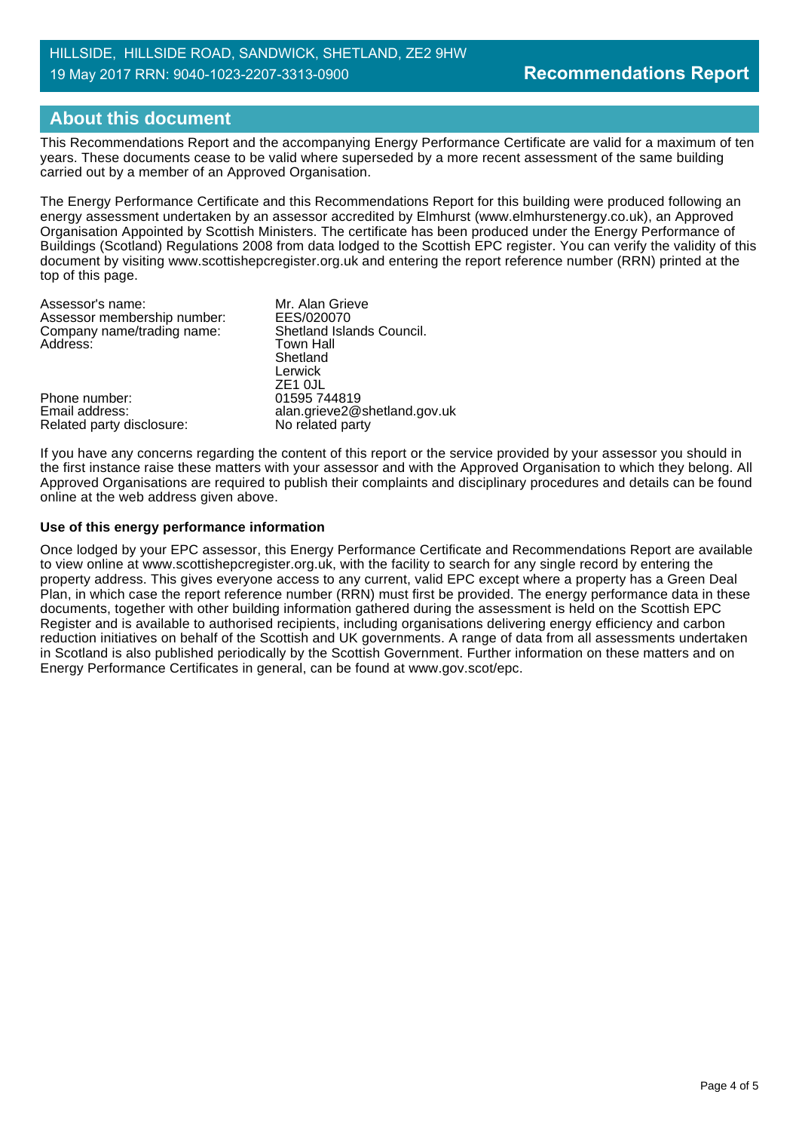## **About this document**

This Recommendations Report and the accompanying Energy Performance Certificate are valid for a maximum of ten years. These documents cease to be valid where superseded by a more recent assessment of the same building carried out by a member of an Approved Organisation.

The Energy Performance Certificate and this Recommendations Report for this building were produced following an energy assessment undertaken by an assessor accredited by Elmhurst (www.elmhurstenergy.co.uk), an Approved Organisation Appointed by Scottish Ministers. The certificate has been produced under the Energy Performance of Buildings (Scotland) Regulations 2008 from data lodged to the Scottish EPC register. You can verify the validity of this document by visiting www.scottishepcregister.org.uk and entering the report reference number (RRN) printed at the top of this page.

| Mr. Alan Grieve              |
|------------------------------|
| EES/020070                   |
| Shetland Islands Council.    |
| <b>Town Hall</b>             |
| Shetland                     |
| Lerwick                      |
| ZE1 OJL                      |
| 01595 744819                 |
| alan.grieve2@shetland.gov.uk |
| No related party             |
|                              |

If you have any concerns regarding the content of this report or the service provided by your assessor you should in the first instance raise these matters with your assessor and with the Approved Organisation to which they belong. All Approved Organisations are required to publish their complaints and disciplinary procedures and details can be found online at the web address given above.

#### **Use of this energy performance information**

Once lodged by your EPC assessor, this Energy Performance Certificate and Recommendations Report are available to view online at www.scottishepcregister.org.uk, with the facility to search for any single record by entering the property address. This gives everyone access to any current, valid EPC except where a property has a Green Deal Plan, in which case the report reference number (RRN) must first be provided. The energy performance data in these documents, together with other building information gathered during the assessment is held on the Scottish EPC Register and is available to authorised recipients, including organisations delivering energy efficiency and carbon reduction initiatives on behalf of the Scottish and UK governments. A range of data from all assessments undertaken in Scotland is also published periodically by the Scottish Government. Further information on these matters and on Energy Performance Certificates in general, can be found at www.gov.scot/epc.